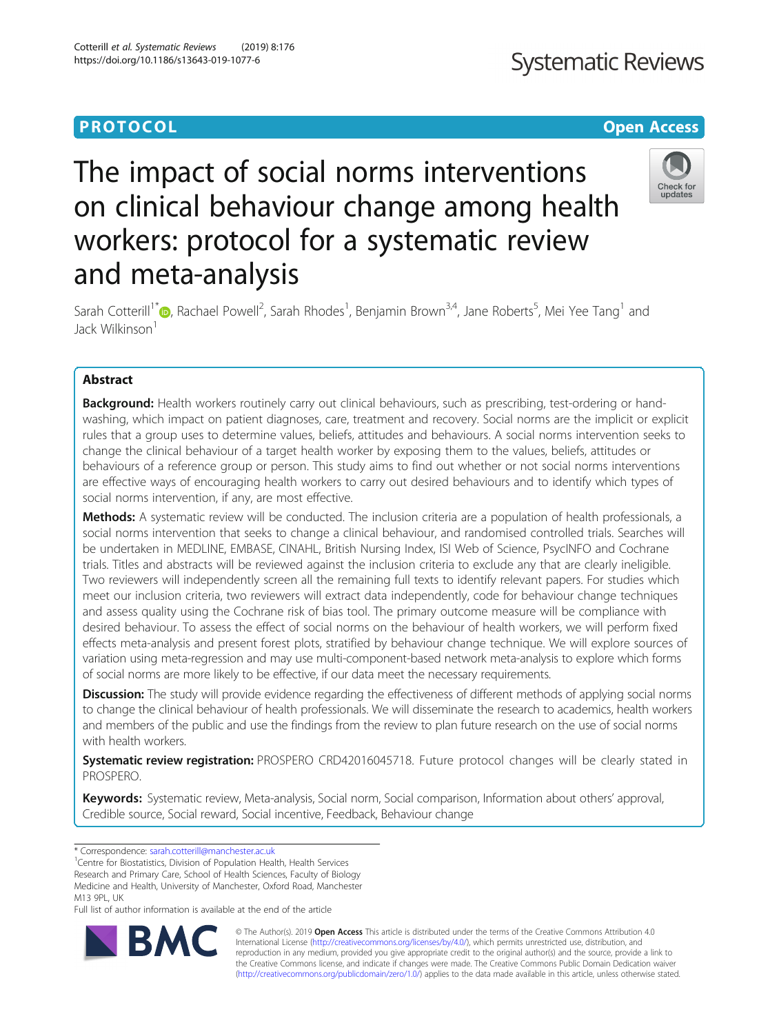# **PROTOCOL CONSUMING THE CONSUMING TEACHER CONSUMING THE CONSUMING TEACHER CONSUMING THE CONSUMING TEACHER CONSUMING**

# **Systematic Reviews**

# The impact of social norms interventions on clinical behaviour change among health workers: protocol for a systematic review and meta-analysis



Sarah Cotterill<sup>1\*</sup> (@[,](http://orcid.org/0000-0001-5136-390X) Rachael Powell<sup>2</sup>, Sarah Rhodes<sup>1</sup>, Benjamin Brown<sup>3,4</sup>, Jane Roberts<sup>5</sup>, Mei Yee Tang<sup>1</sup> and Jack Wilkinson<sup>1</sup>

# Abstract

Background: Health workers routinely carry out clinical behaviours, such as prescribing, test-ordering or handwashing, which impact on patient diagnoses, care, treatment and recovery. Social norms are the implicit or explicit rules that a group uses to determine values, beliefs, attitudes and behaviours. A social norms intervention seeks to change the clinical behaviour of a target health worker by exposing them to the values, beliefs, attitudes or behaviours of a reference group or person. This study aims to find out whether or not social norms interventions are effective ways of encouraging health workers to carry out desired behaviours and to identify which types of social norms intervention, if any, are most effective.

Methods: A systematic review will be conducted. The inclusion criteria are a population of health professionals, a social norms intervention that seeks to change a clinical behaviour, and randomised controlled trials. Searches will be undertaken in MEDLINE, EMBASE, CINAHL, British Nursing Index, ISI Web of Science, PsycINFO and Cochrane trials. Titles and abstracts will be reviewed against the inclusion criteria to exclude any that are clearly ineligible. Two reviewers will independently screen all the remaining full texts to identify relevant papers. For studies which meet our inclusion criteria, two reviewers will extract data independently, code for behaviour change techniques and assess quality using the Cochrane risk of bias tool. The primary outcome measure will be compliance with desired behaviour. To assess the effect of social norms on the behaviour of health workers, we will perform fixed effects meta-analysis and present forest plots, stratified by behaviour change technique. We will explore sources of variation using meta-regression and may use multi-component-based network meta-analysis to explore which forms of social norms are more likely to be effective, if our data meet the necessary requirements.

Discussion: The study will provide evidence regarding the effectiveness of different methods of applying social norms to change the clinical behaviour of health professionals. We will disseminate the research to academics, health workers and members of the public and use the findings from the review to plan future research on the use of social norms with health workers.

Systematic review registration: PROSPERO CRD42016045718. Future protocol changes will be clearly stated in PROSPERO.

Keywords: Systematic review, Meta-analysis, Social norm, Social comparison, Information about others' approval, Credible source, Social reward, Social incentive, Feedback, Behaviour change

\* Correspondence: [sarah.cotterill@manchester.ac.uk](mailto:sarah.cotterill@manchester.ac.uk) <sup>1</sup>

<sup>1</sup> Centre for Biostatistics, Division of Population Health, Health Services

Research and Primary Care, School of Health Sciences, Faculty of Biology Medicine and Health, University of Manchester, Oxford Road, Manchester

M13 9PL, UK

Full list of author information is available at the end of the article



© The Author(s). 2019 Open Access This article is distributed under the terms of the Creative Commons Attribution 4.0 International License [\(http://creativecommons.org/licenses/by/4.0/](http://creativecommons.org/licenses/by/4.0/)), which permits unrestricted use, distribution, and reproduction in any medium, provided you give appropriate credit to the original author(s) and the source, provide a link to the Creative Commons license, and indicate if changes were made. The Creative Commons Public Domain Dedication waiver [\(http://creativecommons.org/publicdomain/zero/1.0/](http://creativecommons.org/publicdomain/zero/1.0/)) applies to the data made available in this article, unless otherwise stated.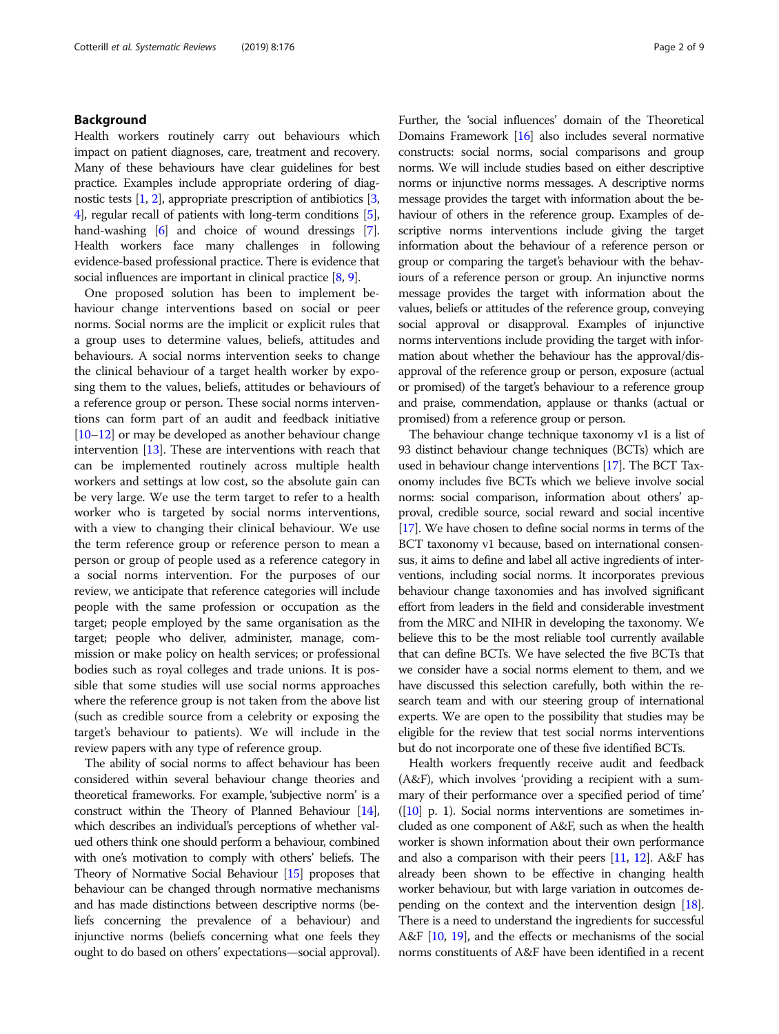# Background

Health workers routinely carry out behaviours which impact on patient diagnoses, care, treatment and recovery. Many of these behaviours have clear guidelines for best practice. Examples include appropriate ordering of diagnostic tests  $[1, 2]$  $[1, 2]$  $[1, 2]$ , appropriate prescription of antibiotics  $[3, 2]$  $[3, 2]$  $[3, 2]$ [4](#page-7-0)], regular recall of patients with long-term conditions [[5](#page-7-0)], hand-washing [\[6\]](#page-7-0) and choice of wound dressings [[7](#page-7-0)]. Health workers face many challenges in following evidence-based professional practice. There is evidence that social influences are important in clinical practice  $[8, 9]$  $[8, 9]$  $[8, 9]$  $[8, 9]$ .

One proposed solution has been to implement behaviour change interventions based on social or peer norms. Social norms are the implicit or explicit rules that a group uses to determine values, beliefs, attitudes and behaviours. A social norms intervention seeks to change the clinical behaviour of a target health worker by exposing them to the values, beliefs, attitudes or behaviours of a reference group or person. These social norms interventions can form part of an audit and feedback initiative [[10](#page-7-0)–[12\]](#page-7-0) or may be developed as another behaviour change intervention [\[13\]](#page-7-0). These are interventions with reach that can be implemented routinely across multiple health workers and settings at low cost, so the absolute gain can be very large. We use the term target to refer to a health worker who is targeted by social norms interventions, with a view to changing their clinical behaviour. We use the term reference group or reference person to mean a person or group of people used as a reference category in a social norms intervention. For the purposes of our review, we anticipate that reference categories will include people with the same profession or occupation as the target; people employed by the same organisation as the target; people who deliver, administer, manage, commission or make policy on health services; or professional bodies such as royal colleges and trade unions. It is possible that some studies will use social norms approaches where the reference group is not taken from the above list (such as credible source from a celebrity or exposing the target's behaviour to patients). We will include in the review papers with any type of reference group.

The ability of social norms to affect behaviour has been considered within several behaviour change theories and theoretical frameworks. For example, 'subjective norm' is a construct within the Theory of Planned Behaviour [\[14](#page-7-0)], which describes an individual's perceptions of whether valued others think one should perform a behaviour, combined with one's motivation to comply with others' beliefs. The Theory of Normative Social Behaviour [[15](#page-7-0)] proposes that behaviour can be changed through normative mechanisms and has made distinctions between descriptive norms (beliefs concerning the prevalence of a behaviour) and injunctive norms (beliefs concerning what one feels they ought to do based on others' expectations—social approval).

Further, the 'social influences' domain of the Theoretical Domains Framework [\[16](#page-7-0)] also includes several normative constructs: social norms, social comparisons and group norms. We will include studies based on either descriptive norms or injunctive norms messages. A descriptive norms message provides the target with information about the behaviour of others in the reference group. Examples of descriptive norms interventions include giving the target information about the behaviour of a reference person or group or comparing the target's behaviour with the behaviours of a reference person or group. An injunctive norms message provides the target with information about the values, beliefs or attitudes of the reference group, conveying social approval or disapproval. Examples of injunctive norms interventions include providing the target with information about whether the behaviour has the approval/disapproval of the reference group or person, exposure (actual or promised) of the target's behaviour to a reference group and praise, commendation, applause or thanks (actual or promised) from a reference group or person.

The behaviour change technique taxonomy v1 is a list of 93 distinct behaviour change techniques (BCTs) which are used in behaviour change interventions [[17](#page-7-0)]. The BCT Taxonomy includes five BCTs which we believe involve social norms: social comparison, information about others' approval, credible source, social reward and social incentive [[17](#page-7-0)]. We have chosen to define social norms in terms of the BCT taxonomy v1 because, based on international consensus, it aims to define and label all active ingredients of interventions, including social norms. It incorporates previous behaviour change taxonomies and has involved significant effort from leaders in the field and considerable investment from the MRC and NIHR in developing the taxonomy. We believe this to be the most reliable tool currently available that can define BCTs. We have selected the five BCTs that we consider have a social norms element to them, and we have discussed this selection carefully, both within the research team and with our steering group of international experts. We are open to the possibility that studies may be eligible for the review that test social norms interventions but do not incorporate one of these five identified BCTs.

Health workers frequently receive audit and feedback (A&F), which involves 'providing a recipient with a summary of their performance over a specified period of time'  $([10]$  $([10]$  $([10]$  p. 1). Social norms interventions are sometimes included as one component of A&F, such as when the health worker is shown information about their own performance and also a comparison with their peers  $[11, 12]$  $[11, 12]$  $[11, 12]$  $[11, 12]$  $[11, 12]$ . A&F has already been shown to be effective in changing health worker behaviour, but with large variation in outcomes depending on the context and the intervention design [\[18](#page-7-0)]. There is a need to understand the ingredients for successful A&F [\[10](#page-7-0), [19](#page-7-0)], and the effects or mechanisms of the social norms constituents of A&F have been identified in a recent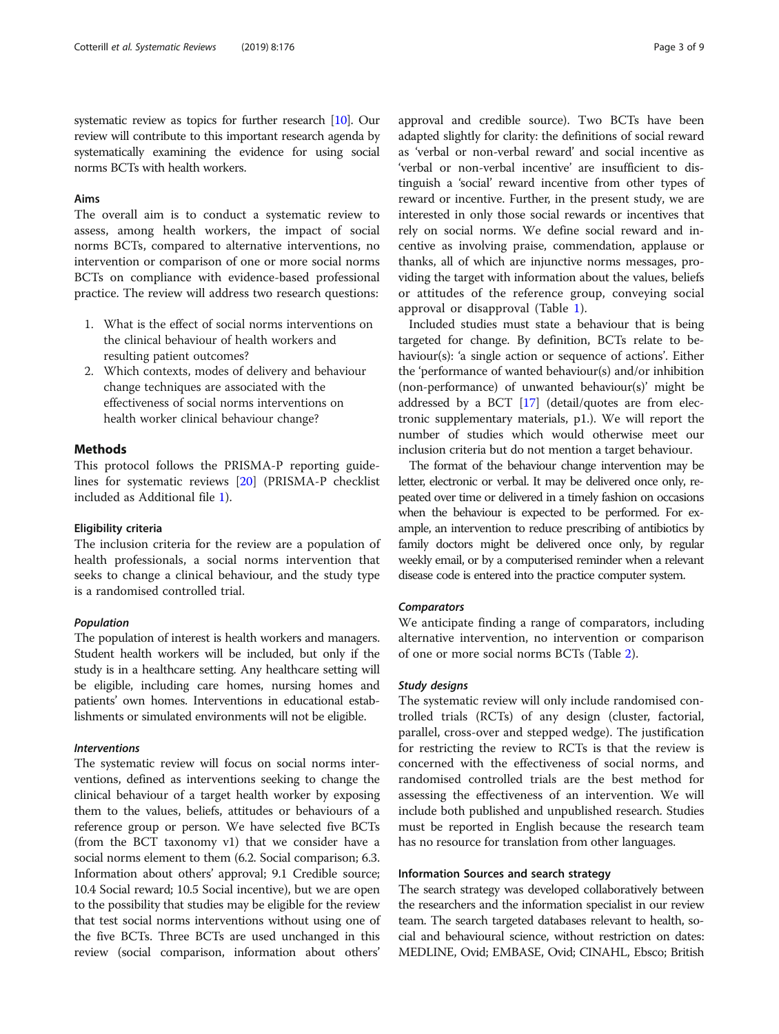systematic review as topics for further research [[10](#page-7-0)]. Our review will contribute to this important research agenda by systematically examining the evidence for using social norms BCTs with health workers.

#### Aims

The overall aim is to conduct a systematic review to assess, among health workers, the impact of social norms BCTs, compared to alternative interventions, no intervention or comparison of one or more social norms BCTs on compliance with evidence-based professional practice. The review will address two research questions:

- 1. What is the effect of social norms interventions on the clinical behaviour of health workers and resulting patient outcomes?
- 2. Which contexts, modes of delivery and behaviour change techniques are associated with the effectiveness of social norms interventions on health worker clinical behaviour change?

# Methods

This protocol follows the PRISMA-P reporting guidelines for systematic reviews [\[20](#page-7-0)] (PRISMA-P checklist included as Additional file [1](#page-7-0)).

### Eligibility criteria

The inclusion criteria for the review are a population of health professionals, a social norms intervention that seeks to change a clinical behaviour, and the study type is a randomised controlled trial.

#### Population

The population of interest is health workers and managers. Student health workers will be included, but only if the study is in a healthcare setting. Any healthcare setting will be eligible, including care homes, nursing homes and patients' own homes. Interventions in educational establishments or simulated environments will not be eligible.

## Interventions

The systematic review will focus on social norms interventions, defined as interventions seeking to change the clinical behaviour of a target health worker by exposing them to the values, beliefs, attitudes or behaviours of a reference group or person. We have selected five BCTs (from the BCT taxonomy v1) that we consider have a social norms element to them (6.2. Social comparison; 6.3. Information about others' approval; 9.1 Credible source; 10.4 Social reward; 10.5 Social incentive), but we are open to the possibility that studies may be eligible for the review that test social norms interventions without using one of the five BCTs. Three BCTs are used unchanged in this review (social comparison, information about others'

approval and credible source). Two BCTs have been adapted slightly for clarity: the definitions of social reward as 'verbal or non-verbal reward' and social incentive as 'verbal or non-verbal incentive' are insufficient to distinguish a 'social' reward incentive from other types of reward or incentive. Further, in the present study, we are interested in only those social rewards or incentives that rely on social norms. We define social reward and incentive as involving praise, commendation, applause or thanks, all of which are injunctive norms messages, providing the target with information about the values, beliefs or attitudes of the reference group, conveying social approval or disapproval (Table [1\)](#page-3-0).

Included studies must state a behaviour that is being targeted for change. By definition, BCTs relate to behaviour(s): 'a single action or sequence of actions'. Either the 'performance of wanted behaviour(s) and/or inhibition (non-performance) of unwanted behaviour(s)' might be addressed by a BCT [\[17\]](#page-7-0) (detail/quotes are from electronic supplementary materials, p1.). We will report the number of studies which would otherwise meet our inclusion criteria but do not mention a target behaviour.

The format of the behaviour change intervention may be letter, electronic or verbal. It may be delivered once only, repeated over time or delivered in a timely fashion on occasions when the behaviour is expected to be performed. For example, an intervention to reduce prescribing of antibiotics by family doctors might be delivered once only, by regular weekly email, or by a computerised reminder when a relevant disease code is entered into the practice computer system.

#### **Comparators**

We anticipate finding a range of comparators, including alternative intervention, no intervention or comparison of one or more social norms BCTs (Table [2\)](#page-3-0).

#### Study designs

The systematic review will only include randomised controlled trials (RCTs) of any design (cluster, factorial, parallel, cross-over and stepped wedge). The justification for restricting the review to RCTs is that the review is concerned with the effectiveness of social norms, and randomised controlled trials are the best method for assessing the effectiveness of an intervention. We will include both published and unpublished research. Studies must be reported in English because the research team has no resource for translation from other languages.

#### Information Sources and search strategy

The search strategy was developed collaboratively between the researchers and the information specialist in our review team. The search targeted databases relevant to health, social and behavioural science, without restriction on dates: MEDLINE, Ovid; EMBASE, Ovid; CINAHL, Ebsco; British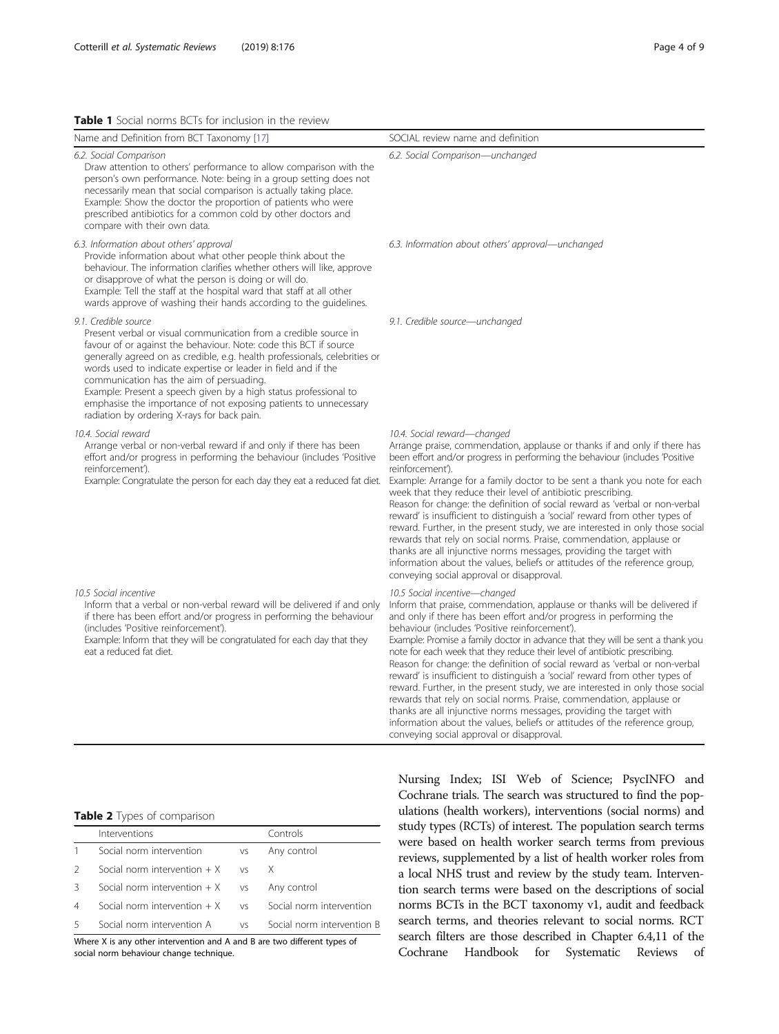#### <span id="page-3-0"></span>Table 1 Social norms BCTs for inclusion in the review

| Name and Definition from BCT Taxonomy [17]                                                                                                                                                                                                                                                                                                                                                                                                                                                                                                       | SOCIAL review name and definition                                                                                                                                                                                                                                                                                                                                                                                                                                                                                                                                                                                                                                                                                                                                                                                                                                                                                             |
|--------------------------------------------------------------------------------------------------------------------------------------------------------------------------------------------------------------------------------------------------------------------------------------------------------------------------------------------------------------------------------------------------------------------------------------------------------------------------------------------------------------------------------------------------|-------------------------------------------------------------------------------------------------------------------------------------------------------------------------------------------------------------------------------------------------------------------------------------------------------------------------------------------------------------------------------------------------------------------------------------------------------------------------------------------------------------------------------------------------------------------------------------------------------------------------------------------------------------------------------------------------------------------------------------------------------------------------------------------------------------------------------------------------------------------------------------------------------------------------------|
| 6.2. Social Comparison<br>Draw attention to others' performance to allow comparison with the<br>person's own performance. Note: being in a group setting does not<br>necessarily mean that social comparison is actually taking place.<br>Example: Show the doctor the proportion of patients who were<br>prescribed antibiotics for a common cold by other doctors and<br>compare with their own data.                                                                                                                                          | 6.2. Social Comparison—unchanged                                                                                                                                                                                                                                                                                                                                                                                                                                                                                                                                                                                                                                                                                                                                                                                                                                                                                              |
| 6.3. Information about others' approval<br>Provide information about what other people think about the<br>behaviour. The information clarifies whether others will like, approve<br>or disapprove of what the person is doing or will do.<br>Example: Tell the staff at the hospital ward that staff at all other<br>wards approve of washing their hands according to the guidelines.                                                                                                                                                           | 6.3. Information about others' approval—unchanged                                                                                                                                                                                                                                                                                                                                                                                                                                                                                                                                                                                                                                                                                                                                                                                                                                                                             |
| 9.1. Credible source<br>Present verbal or visual communication from a credible source in<br>favour of or against the behaviour. Note: code this BCT if source<br>generally agreed on as credible, e.g. health professionals, celebrities or<br>words used to indicate expertise or leader in field and if the<br>communication has the aim of persuading.<br>Example: Present a speech given by a high status professional to<br>emphasise the importance of not exposing patients to unnecessary<br>radiation by ordering X-rays for back pain. | 9.1. Credible source-unchanged                                                                                                                                                                                                                                                                                                                                                                                                                                                                                                                                                                                                                                                                                                                                                                                                                                                                                                |
| 10.4. Social reward<br>Arrange verbal or non-verbal reward if and only if there has been<br>effort and/or progress in performing the behaviour (includes 'Positive<br>reinforcement').<br>Example: Congratulate the person for each day they eat a reduced fat diet.                                                                                                                                                                                                                                                                             | 10.4. Social reward-changed<br>Arrange praise, commendation, applause or thanks if and only if there has<br>been effort and/or progress in performing the behaviour (includes 'Positive<br>reinforcement').<br>Example: Arrange for a family doctor to be sent a thank you note for each<br>week that they reduce their level of antibiotic prescribing.<br>Reason for change: the definition of social reward as 'verbal or non-verbal<br>reward' is insufficient to distinguish a 'social' reward from other types of<br>reward. Further, in the present study, we are interested in only those social<br>rewards that rely on social norms. Praise, commendation, applause or<br>thanks are all injunctive norms messages, providing the target with<br>information about the values, beliefs or attitudes of the reference group,<br>conveying social approval or disapproval.                                            |
| 10.5 Social incentive<br>Inform that a verbal or non-verbal reward will be delivered if and only<br>if there has been effort and/or progress in performing the behaviour<br>(includes 'Positive reinforcement').<br>Example: Inform that they will be congratulated for each day that they<br>eat a reduced fat diet.                                                                                                                                                                                                                            | 10.5 Social incentive-changed<br>Inform that praise, commendation, applause or thanks will be delivered if<br>and only if there has been effort and/or progress in performing the<br>behaviour (includes 'Positive reinforcement').<br>Example: Promise a family doctor in advance that they will be sent a thank you<br>note for each week that they reduce their level of antibiotic prescribing.<br>Reason for change: the definition of social reward as 'verbal or non-verbal<br>reward' is insufficient to distinguish a 'social' reward from other types of<br>reward. Further, in the present study, we are interested in only those social<br>rewards that rely on social norms. Praise, commendation, applause or<br>thanks are all injunctive norms messages, providing the target with<br>information about the values, beliefs or attitudes of the reference group,<br>conveying social approval or disapproval. |

## Table 2 Types of comparison

|               | Interventions                     |                | Controls                   |
|---------------|-----------------------------------|----------------|----------------------------|
|               | Social norm intervention          | VS             | Any control                |
| $\mathcal{L}$ | Social norm intervention $+ X$    | V <sub>S</sub> |                            |
| 3             | Social norm intervention $+ X$ vs |                | Any control                |
| 4             | Social norm intervention $+ X$    | VS.            | Social norm intervention   |
| 5             | Social norm intervention A        | VS.            | Social norm intervention B |

Where X is any other intervention and A and B are two different types of social norm behaviour change technique.

Nursing Index; ISI Web of Science; PsycINFO and Cochrane trials. The search was structured to find the populations (health workers), interventions (social norms) and study types (RCTs) of interest. The population search terms were based on health worker search terms from previous reviews, supplemented by a list of health worker roles from a local NHS trust and review by the study team. Intervention search terms were based on the descriptions of social norms BCTs in the BCT taxonomy v1, audit and feedback search terms, and theories relevant to social norms. RCT search filters are those described in Chapter 6.4,11 of the Cochrane Handbook for Systematic Reviews of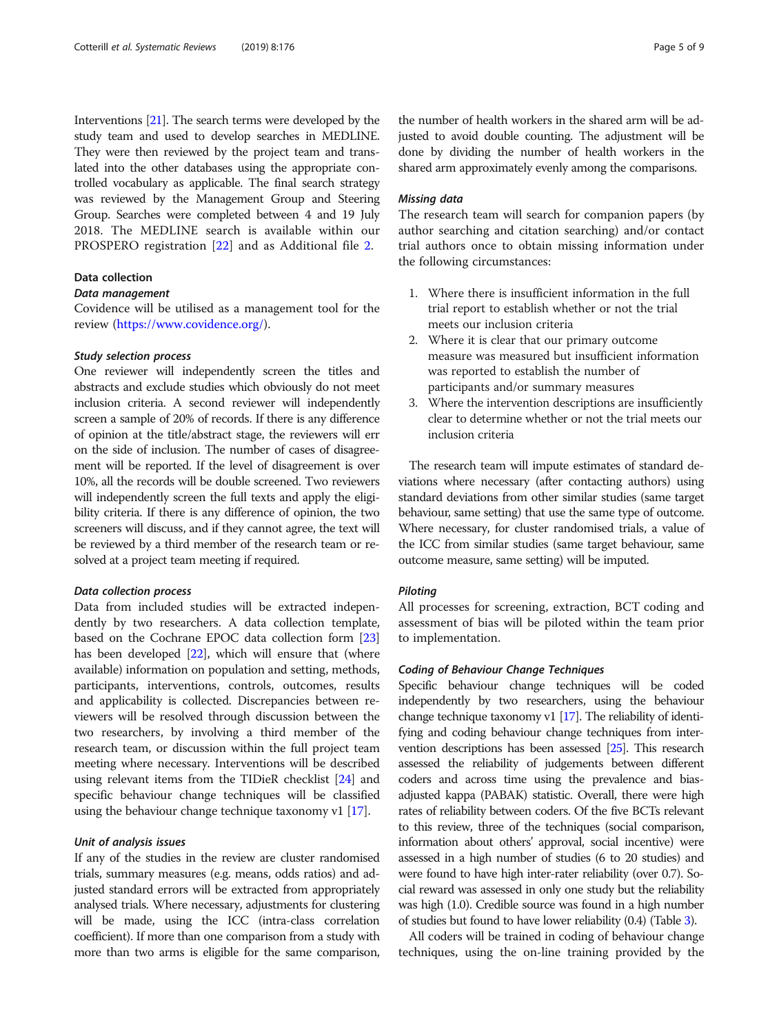Interventions [[21\]](#page-8-0). The search terms were developed by the study team and used to develop searches in MEDLINE. They were then reviewed by the project team and translated into the other databases using the appropriate controlled vocabulary as applicable. The final search strategy was reviewed by the Management Group and Steering Group. Searches were completed between 4 and 19 July 2018. The MEDLINE search is available within our PROSPERO registration [\[22](#page-8-0)] and as Additional file [2.](#page-7-0)

# Data collection

# Data management

Covidence will be utilised as a management tool for the review [\(https://www.covidence.org/\)](https://www.covidence.org/).

#### Study selection process

One reviewer will independently screen the titles and abstracts and exclude studies which obviously do not meet inclusion criteria. A second reviewer will independently screen a sample of 20% of records. If there is any difference of opinion at the title/abstract stage, the reviewers will err on the side of inclusion. The number of cases of disagreement will be reported. If the level of disagreement is over 10%, all the records will be double screened. Two reviewers will independently screen the full texts and apply the eligibility criteria. If there is any difference of opinion, the two screeners will discuss, and if they cannot agree, the text will be reviewed by a third member of the research team or resolved at a project team meeting if required.

# Data collection process

Data from included studies will be extracted independently by two researchers. A data collection template, based on the Cochrane EPOC data collection form [[23](#page-8-0)] has been developed [[22](#page-8-0)], which will ensure that (where available) information on population and setting, methods, participants, interventions, controls, outcomes, results and applicability is collected. Discrepancies between reviewers will be resolved through discussion between the two researchers, by involving a third member of the research team, or discussion within the full project team meeting where necessary. Interventions will be described using relevant items from the TIDieR checklist [[24\]](#page-8-0) and specific behaviour change techniques will be classified using the behaviour change technique taxonomy v1 [\[17](#page-7-0)].

# Unit of analysis issues

If any of the studies in the review are cluster randomised trials, summary measures (e.g. means, odds ratios) and adjusted standard errors will be extracted from appropriately analysed trials. Where necessary, adjustments for clustering will be made, using the ICC (intra-class correlation coefficient). If more than one comparison from a study with more than two arms is eligible for the same comparison,

the number of health workers in the shared arm will be adjusted to avoid double counting. The adjustment will be done by dividing the number of health workers in the shared arm approximately evenly among the comparisons.

#### Missing data

The research team will search for companion papers (by author searching and citation searching) and/or contact trial authors once to obtain missing information under the following circumstances:

- 1. Where there is insufficient information in the full trial report to establish whether or not the trial meets our inclusion criteria
- 2. Where it is clear that our primary outcome measure was measured but insufficient information was reported to establish the number of participants and/or summary measures
- 3. Where the intervention descriptions are insufficiently clear to determine whether or not the trial meets our inclusion criteria

The research team will impute estimates of standard deviations where necessary (after contacting authors) using standard deviations from other similar studies (same target behaviour, same setting) that use the same type of outcome. Where necessary, for cluster randomised trials, a value of the ICC from similar studies (same target behaviour, same outcome measure, same setting) will be imputed.

#### Piloting

All processes for screening, extraction, BCT coding and assessment of bias will be piloted within the team prior to implementation.

# Coding of Behaviour Change Techniques

Specific behaviour change techniques will be coded independently by two researchers, using the behaviour change technique taxonomy v1 [[17](#page-7-0)]. The reliability of identifying and coding behaviour change techniques from intervention descriptions has been assessed [[25\]](#page-8-0). This research assessed the reliability of judgements between different coders and across time using the prevalence and biasadjusted kappa (PABAK) statistic. Overall, there were high rates of reliability between coders. Of the five BCTs relevant to this review, three of the techniques (social comparison, information about others' approval, social incentive) were assessed in a high number of studies (6 to 20 studies) and were found to have high inter-rater reliability (over 0.7). Social reward was assessed in only one study but the reliability was high (1.0). Credible source was found in a high number of studies but found to have lower reliability (0.4) (Table [3](#page-5-0)).

All coders will be trained in coding of behaviour change techniques, using the on-line training provided by the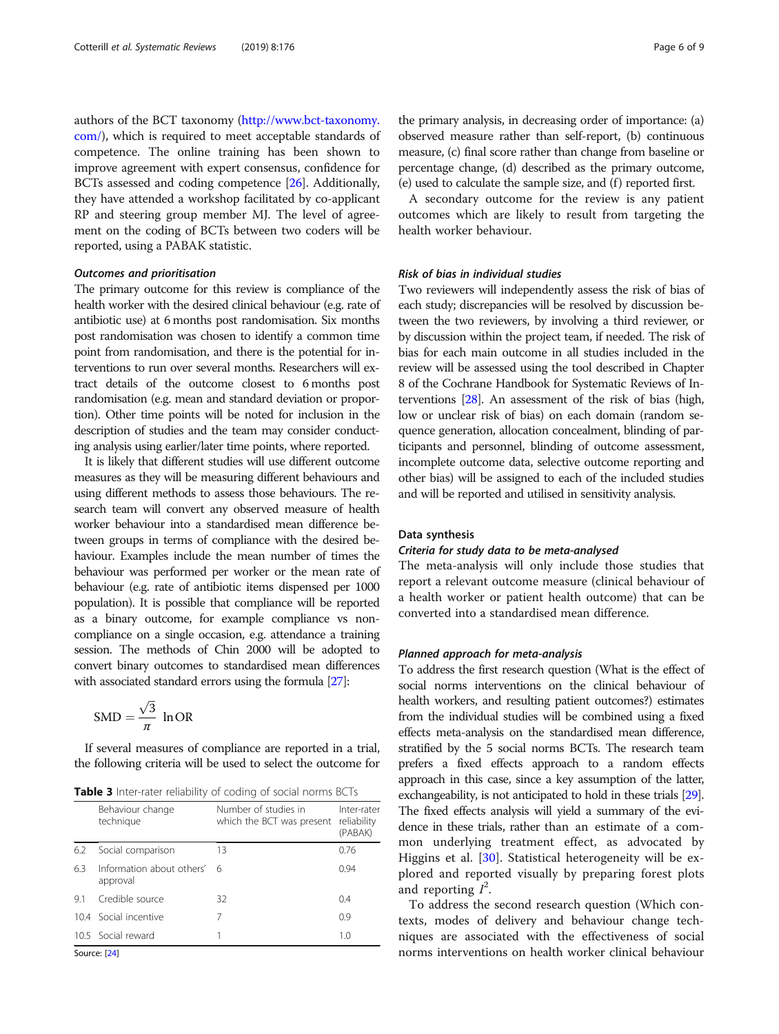<span id="page-5-0"></span>authors of the BCT taxonomy ([http://www.bct-taxonomy.](http://www.bct-taxonomy.com/) [com/\)](http://www.bct-taxonomy.com/), which is required to meet acceptable standards of competence. The online training has been shown to improve agreement with expert consensus, confidence for BCTs assessed and coding competence [\[26\]](#page-8-0). Additionally, they have attended a workshop facilitated by co-applicant RP and steering group member MJ. The level of agreement on the coding of BCTs between two coders will be reported, using a PABAK statistic.

#### Outcomes and prioritisation

The primary outcome for this review is compliance of the health worker with the desired clinical behaviour (e.g. rate of antibiotic use) at 6 months post randomisation. Six months post randomisation was chosen to identify a common time point from randomisation, and there is the potential for interventions to run over several months. Researchers will extract details of the outcome closest to 6 months post randomisation (e.g. mean and standard deviation or proportion). Other time points will be noted for inclusion in the description of studies and the team may consider conducting analysis using earlier/later time points, where reported.

It is likely that different studies will use different outcome measures as they will be measuring different behaviours and using different methods to assess those behaviours. The research team will convert any observed measure of health worker behaviour into a standardised mean difference between groups in terms of compliance with the desired behaviour. Examples include the mean number of times the behaviour was performed per worker or the mean rate of behaviour (e.g. rate of antibiotic items dispensed per 1000 population). It is possible that compliance will be reported as a binary outcome, for example compliance vs noncompliance on a single occasion, e.g. attendance a training session. The methods of Chin 2000 will be adopted to convert binary outcomes to standardised mean differences with associated standard errors using the formula [\[27](#page-8-0)]:

$$
SMD = \frac{\sqrt{3}}{\pi} \ln OR
$$

If several measures of compliance are reported in a trial, the following criteria will be used to select the outcome for

Table 3 Inter-rater reliability of coding of social norms BCTs

|     | Behaviour change<br>technique           | Number of studies in<br>which the BCT was present | Inter-rater<br>reliability<br>(PABAK) |
|-----|-----------------------------------------|---------------------------------------------------|---------------------------------------|
| 6.2 | Social comparison                       | 13                                                | 0.76                                  |
| 6.3 | Information about others' 6<br>approval |                                                   | 0.94                                  |
| 91  | Credible source                         | 32                                                | 0.4                                   |
|     | 10.4 Social incentive                   | 7                                                 | 0.9                                   |
|     | 10.5 Social reward                      |                                                   | 1.0                                   |
|     |                                         |                                                   |                                       |

Source: [\[24](#page-8-0)]

the primary analysis, in decreasing order of importance: (a) observed measure rather than self-report, (b) continuous measure, (c) final score rather than change from baseline or percentage change, (d) described as the primary outcome,  $(e)$  used to calculate the sample size, and  $(f)$  reported first.

A secondary outcome for the review is any patient outcomes which are likely to result from targeting the health worker behaviour.

# Risk of bias in individual studies

Two reviewers will independently assess the risk of bias of each study; discrepancies will be resolved by discussion between the two reviewers, by involving a third reviewer, or by discussion within the project team, if needed. The risk of bias for each main outcome in all studies included in the review will be assessed using the tool described in Chapter 8 of the Cochrane Handbook for Systematic Reviews of Interventions [[28](#page-8-0)]. An assessment of the risk of bias (high, low or unclear risk of bias) on each domain (random sequence generation, allocation concealment, blinding of participants and personnel, blinding of outcome assessment, incomplete outcome data, selective outcome reporting and other bias) will be assigned to each of the included studies and will be reported and utilised in sensitivity analysis.

## Data synthesis

#### Criteria for study data to be meta-analysed

The meta-analysis will only include those studies that report a relevant outcome measure (clinical behaviour of a health worker or patient health outcome) that can be converted into a standardised mean difference.

#### Planned approach for meta-analysis

To address the first research question (What is the effect of social norms interventions on the clinical behaviour of health workers, and resulting patient outcomes?) estimates from the individual studies will be combined using a fixed effects meta-analysis on the standardised mean difference, stratified by the 5 social norms BCTs. The research team prefers a fixed effects approach to a random effects approach in this case, since a key assumption of the latter, exchangeability, is not anticipated to hold in these trials [\[29\]](#page-8-0). The fixed effects analysis will yield a summary of the evidence in these trials, rather than an estimate of a common underlying treatment effect, as advocated by Higgins et al. [[30](#page-8-0)]. Statistical heterogeneity will be explored and reported visually by preparing forest plots and reporting  $I^2$ .

To address the second research question (Which contexts, modes of delivery and behaviour change techniques are associated with the effectiveness of social norms interventions on health worker clinical behaviour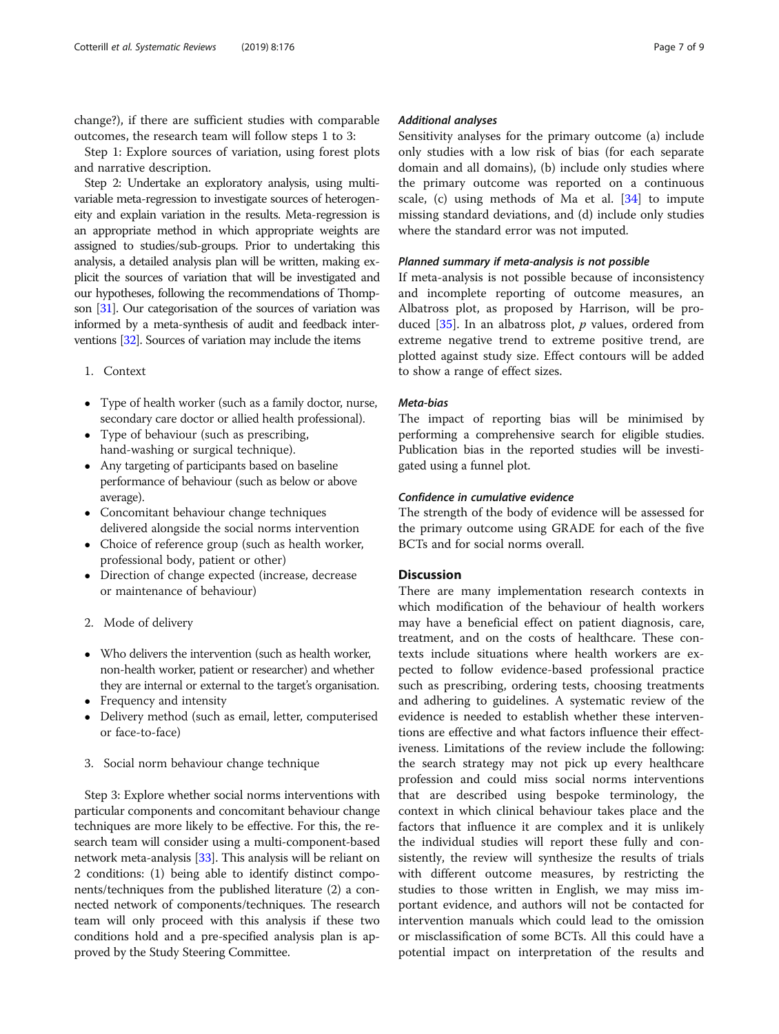change?), if there are sufficient studies with comparable outcomes, the research team will follow steps 1 to 3:

Step 1: Explore sources of variation, using forest plots and narrative description.

Step 2: Undertake an exploratory analysis, using multivariable meta-regression to investigate sources of heterogeneity and explain variation in the results. Meta-regression is an appropriate method in which appropriate weights are assigned to studies/sub-groups. Prior to undertaking this analysis, a detailed analysis plan will be written, making explicit the sources of variation that will be investigated and our hypotheses, following the recommendations of Thompson [\[31\]](#page-8-0). Our categorisation of the sources of variation was informed by a meta-synthesis of audit and feedback interventions [[32\]](#page-8-0). Sources of variation may include the items

- 1. Context
- Type of health worker (such as a family doctor, nurse, secondary care doctor or allied health professional).
- Type of behaviour (such as prescribing, hand-washing or surgical technique).
- Any targeting of participants based on baseline performance of behaviour (such as below or above average).
- Concomitant behaviour change techniques delivered alongside the social norms intervention
- Choice of reference group (such as health worker, professional body, patient or other)
- Direction of change expected (increase, decrease or maintenance of behaviour)
- 2. Mode of delivery
- Who delivers the intervention (such as health worker, non-health worker, patient or researcher) and whether they are internal or external to the target's organisation.
- Frequency and intensity
- Delivery method (such as email, letter, computerised or face-to-face)
- 3. Social norm behaviour change technique

Step 3: Explore whether social norms interventions with particular components and concomitant behaviour change techniques are more likely to be effective. For this, the research team will consider using a multi-component-based network meta-analysis [[33\]](#page-8-0). This analysis will be reliant on 2 conditions: (1) being able to identify distinct components/techniques from the published literature (2) a connected network of components/techniques. The research team will only proceed with this analysis if these two conditions hold and a pre-specified analysis plan is approved by the Study Steering Committee.

#### Additional analyses

Sensitivity analyses for the primary outcome (a) include only studies with a low risk of bias (for each separate domain and all domains), (b) include only studies where the primary outcome was reported on a continuous scale, (c) using methods of Ma et al.  $[34]$  $[34]$  to impute missing standard deviations, and (d) include only studies where the standard error was not imputed.

# Planned summary if meta-analysis is not possible

If meta-analysis is not possible because of inconsistency and incomplete reporting of outcome measures, an Albatross plot, as proposed by Harrison, will be produced  $[35]$  $[35]$ . In an albatross plot, p values, ordered from extreme negative trend to extreme positive trend, are plotted against study size. Effect contours will be added to show a range of effect sizes.

#### Meta-bias

The impact of reporting bias will be minimised by performing a comprehensive search for eligible studies. Publication bias in the reported studies will be investigated using a funnel plot.

# Confidence in cumulative evidence

The strength of the body of evidence will be assessed for the primary outcome using GRADE for each of the five BCTs and for social norms overall.

#### **Discussion**

There are many implementation research contexts in which modification of the behaviour of health workers may have a beneficial effect on patient diagnosis, care, treatment, and on the costs of healthcare. These contexts include situations where health workers are expected to follow evidence-based professional practice such as prescribing, ordering tests, choosing treatments and adhering to guidelines. A systematic review of the evidence is needed to establish whether these interventions are effective and what factors influence their effectiveness. Limitations of the review include the following: the search strategy may not pick up every healthcare profession and could miss social norms interventions that are described using bespoke terminology, the context in which clinical behaviour takes place and the factors that influence it are complex and it is unlikely the individual studies will report these fully and consistently, the review will synthesize the results of trials with different outcome measures, by restricting the studies to those written in English, we may miss important evidence, and authors will not be contacted for intervention manuals which could lead to the omission or misclassification of some BCTs. All this could have a potential impact on interpretation of the results and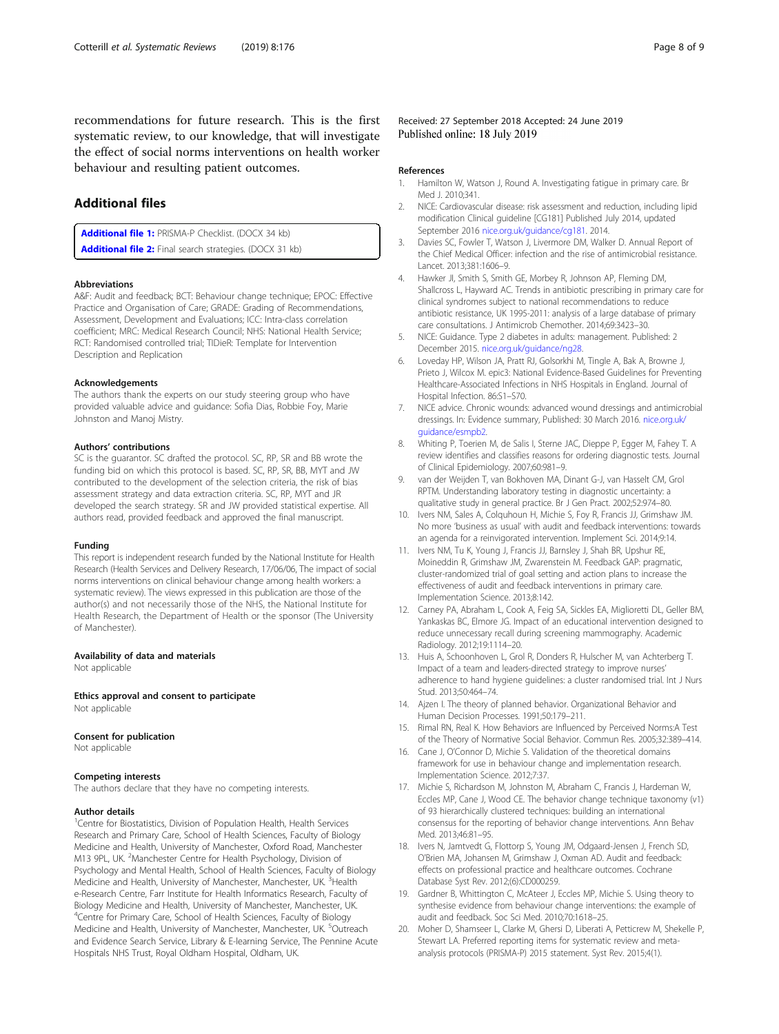<span id="page-7-0"></span>recommendations for future research. This is the first systematic review, to our knowledge, that will investigate the effect of social norms interventions on health worker behaviour and resulting patient outcomes.

# Additional files

[Additional file 1:](https://doi.org/10.1186/s13643-019-1077-6) PRISMA-P Checklist. (DOCX 34 kb) [Additional file 2:](https://doi.org/10.1186/s13643-019-1077-6) Final search strategies. (DOCX 31 kb)

#### Abbreviations

A&F: Audit and feedback; BCT: Behaviour change technique; EPOC: Effective Practice and Organisation of Care; GRADE: Grading of Recommendations, Assessment, Development and Evaluations; ICC: Intra-class correlation coefficient; MRC: Medical Research Council; NHS: National Health Service; RCT: Randomised controlled trial; TIDieR: Template for Intervention Description and Replication

#### Acknowledgements

The authors thank the experts on our study steering group who have provided valuable advice and guidance: Sofia Dias, Robbie Foy, Marie Johnston and Manoj Mistry.

#### Authors' contributions

SC is the guarantor. SC drafted the protocol. SC, RP, SR and BB wrote the funding bid on which this protocol is based. SC, RP, SR, BB, MYT and JW contributed to the development of the selection criteria, the risk of bias assessment strategy and data extraction criteria. SC, RP, MYT and JR developed the search strategy. SR and JW provided statistical expertise. All authors read, provided feedback and approved the final manuscript.

#### Funding

This report is independent research funded by the National Institute for Health Research (Health Services and Delivery Research, 17/06/06, The impact of social norms interventions on clinical behaviour change among health workers: a systematic review). The views expressed in this publication are those of the author(s) and not necessarily those of the NHS, the National Institute for Health Research, the Department of Health or the sponsor (The University of Manchester).

### Availability of data and materials

Not applicable

Ethics approval and consent to participate Not applicable

#### Consent for publication

Not applicable

#### Competing interests

The authors declare that they have no competing interests.

#### Author details

<sup>1</sup>Centre for Biostatistics, Division of Population Health, Health Services Research and Primary Care, School of Health Sciences, Faculty of Biology Medicine and Health, University of Manchester, Oxford Road, Manchester M13 9PL, UK. <sup>2</sup>Manchester Centre for Health Psychology, Division of Psychology and Mental Health, School of Health Sciences, Faculty of Biology Medicine and Health, University of Manchester, Manchester, UK. <sup>3</sup>Health e-Research Centre, Farr Institute for Health Informatics Research, Faculty of Biology Medicine and Health, University of Manchester, Manchester, UK. 4 Centre for Primary Care, School of Health Sciences, Faculty of Biology Medicine and Health, University of Manchester, Manchester, UK. <sup>5</sup>Outreach and Evidence Search Service, Library & E-learning Service, The Pennine Acute Hospitals NHS Trust, Royal Oldham Hospital, Oldham, UK.

Received: 27 September 2018 Accepted: 24 June 2019 Published online: 18 July 2019

#### References

- 1. Hamilton W, Watson J, Round A. Investigating fatigue in primary care. Br Med 1. 2010;341
- 2. NICE: Cardiovascular disease: risk assessment and reduction, including lipid modification Clinical guideline [CG181] Published July 2014, updated September 2016 [nice.org.uk/guidance/cg181.](http://nice.org.uk/guidance/cg181) 2014.
- 3. Davies SC, Fowler T, Watson J, Livermore DM, Walker D. Annual Report of the Chief Medical Officer: infection and the rise of antimicrobial resistance. Lancet. 2013;381:1606–9.
- 4. Hawker JI, Smith S, Smith GE, Morbey R, Johnson AP, Fleming DM, Shallcross L, Hayward AC. Trends in antibiotic prescribing in primary care for clinical syndromes subject to national recommendations to reduce antibiotic resistance, UK 1995-2011: analysis of a large database of primary care consultations. J Antimicrob Chemother. 2014;69:3423–30.
- 5. NICE: Guidance. Type 2 diabetes in adults: management. Published: 2 December 2015. [nice.org.uk/guidance/ng28.](http://nice.org.uk/guidance/ng28)
- 6. Loveday HP, Wilson JA, Pratt RJ, Golsorkhi M, Tingle A, Bak A, Browne J, Prieto J, Wilcox M. epic3: National Evidence-Based Guidelines for Preventing Healthcare-Associated Infections in NHS Hospitals in England. Journal of Hospital Infection. 86:S1–S70.
- 7. NICE advice. Chronic wounds: advanced wound dressings and antimicrobial dressings. In: Evidence summary, Published: 30 March 2016. [nice.org.uk/](http://nice.org.uk/guidance/esmpb2) [guidance/esmpb2.](http://nice.org.uk/guidance/esmpb2)
- 8. Whiting P, Toerien M, de Salis I, Sterne JAC, Dieppe P, Egger M, Fahey T. A review identifies and classifies reasons for ordering diagnostic tests. Journal of Clinical Epidemiology. 2007;60:981–9.
- 9. van der Weijden T, van Bokhoven MA, Dinant G-J, van Hasselt CM, Grol RPTM. Understanding laboratory testing in diagnostic uncertainty: a qualitative study in general practice. Br J Gen Pract. 2002;52:974–80.
- 10. Ivers NM, Sales A, Colquhoun H, Michie S, Foy R, Francis JJ, Grimshaw JM. No more 'business as usual' with audit and feedback interventions: towards an agenda for a reinvigorated intervention. Implement Sci. 2014;9:14.
- 11. Ivers NM, Tu K, Young J, Francis JJ, Barnsley J, Shah BR, Upshur RE, Moineddin R, Grimshaw JM, Zwarenstein M. Feedback GAP: pragmatic, cluster-randomized trial of goal setting and action plans to increase the effectiveness of audit and feedback interventions in primary care. Implementation Science. 2013;8:142.
- 12. Carney PA, Abraham L, Cook A, Feig SA, Sickles EA, Miglioretti DL, Geller BM, Yankaskas BC, Elmore JG. Impact of an educational intervention designed to reduce unnecessary recall during screening mammography. Academic Radiology. 2012;19:1114–20.
- 13. Huis A, Schoonhoven L, Grol R, Donders R, Hulscher M, van Achterberg T. Impact of a team and leaders-directed strategy to improve nurses' adherence to hand hygiene guidelines: a cluster randomised trial. Int J Nurs Stud. 2013;50:464–74.
- 14. Ajzen I. The theory of planned behavior. Organizational Behavior and Human Decision Processes. 1991;50:179–211.
- 15. Rimal RN, Real K. How Behaviors are Influenced by Perceived Norms:A Test of the Theory of Normative Social Behavior. Commun Res. 2005;32:389–414.
- 16. Cane J, O'Connor D, Michie S. Validation of the theoretical domains framework for use in behaviour change and implementation research. Implementation Science. 2012;7:37.
- 17. Michie S, Richardson M, Johnston M, Abraham C, Francis J, Hardeman W, Eccles MP, Cane J, Wood CE. The behavior change technique taxonomy (v1) of 93 hierarchically clustered techniques: building an international consensus for the reporting of behavior change interventions. Ann Behav Med. 2013;46:81–95.
- 18. Ivers N, Jamtvedt G, Flottorp S, Young JM, Odgaard-Jensen J, French SD, O'Brien MA, Johansen M, Grimshaw J, Oxman AD. Audit and feedback: effects on professional practice and healthcare outcomes. Cochrane Database Syst Rev. 2012;(6):CD000259.
- 19. Gardner B, Whittington C, McAteer J, Eccles MP, Michie S. Using theory to synthesise evidence from behaviour change interventions: the example of audit and feedback. Soc Sci Med. 2010;70:1618–25.
- 20. Moher D, Shamseer L, Clarke M, Ghersi D, Liberati A, Petticrew M, Shekelle P, Stewart LA. Preferred reporting items for systematic review and metaanalysis protocols (PRISMA-P) 2015 statement. Syst Rev. 2015;4(1).